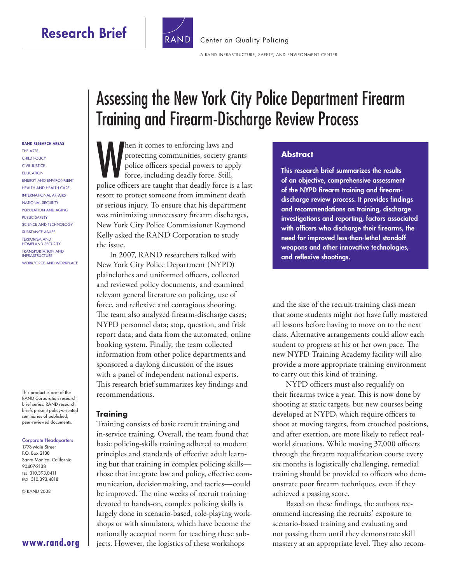# **Research Brief**



A RAND INFRASTRUCTURE, SAFETY, AND ENVIRONMENT CENTER

# Assessing the New York City Police Department Firearm Training and Firearm-Discharge Review Process

[Center on Quality Policing](http://www.rand.org/pdfrd/ise/centers/quality_policing/)

then it comes to enforcing laws and<br>protecting communities, society grants<br>police officers special powers to apply<br>force, including deadly force. Still,<br>police officers are taught that deadly force is a last hen it comes to enforcing laws and protecting communities, society grants police officers special powers to apply force, including deadly force. Still, resort to protect someone from imminent death or serious injury. To ensure that his department was minimizing unnecessary firearm discharges, New York City Police Commissioner Raymond Kelly asked the RAND Corporation to study the issue.

In 2007, RAND researchers talked with New York City Police Department (NYPD) plainclothes and uniformed officers, collected and reviewed policy documents, and examined relevant general literature on policing, use of force, and reflexive and contagious shooting. The team also analyzed firearm-discharge cases; NYPD personnel data; stop, question, and frisk report data; and data from the automated, online booking system. Finally, the team collected information from other police departments and sponsored a daylong discussion of the issues with a panel of independent national experts. This research brief summarizes key findings and recommendations.

#### **Training**

Training consists of basic recruit training and in-service training. Overall, the team found that basic policing-skills training adhered to modern principles and standards of effective adult learning but that training in complex policing skills those that integrate law and policy, effective communication, decisionmaking, and tactics—could be improved. The nine weeks of recruit training devoted to hands-on, complex policing skills is largely done in scenario-based, role-playing workshops or with simulators, which have become the nationally accepted norm for teaching these subjects. However, the logistics of these workshops

#### **Abstract**

**This research brief summarizes the results of an objective, comprehensive assessment**  of the NYPD firearm training and firearmdischarge review process. It provides findings **and recommendations on training, discharge investigations and reporting, factors associated**  with officers who discharge their firearms, the **need for improved less-than-lethal standoff weapons and other innovative technologies,**  and reflexive shootings.

and the size of the recruit-training class mean that some students might not have fully mastered all lessons before having to move on to the next class. Alternative arrangements could allow each student to progress at his or her own pace. The new NYPD Training Academy facility will also provide a more appropriate training environment to carry out this kind of training.

NYPD officers must also requalify on their firearms twice a year. This is now done by shooting at static targets, but new courses being developed at NYPD, which require officers to shoot at moving targets, from crouched positions, and after exertion, are more likely to reflect realworld situations. While moving 37,000 officers through the firearm requalification course every six months is logistically challenging, remedial training should be provided to officers who demonstrate poor firearm techniques, even if they achieved a passing score.

Based on these findings, the authors recommend increasing the recruits' exposure to scenario-based training and evaluating and not passing them until they demonstrate skill mastery at an appropriate level. They also recom-

#### **RAND RESEARCH AREAS**

THE ARTS CHILD POLICY CIVIL JUSTICE EDUCATION ENERGY AND ENVIRONMENT HEALTH AND HEALTH CARE INTERNATIONAL AFFAIRS NATIONAL SECURITY POPULATION AND AGING PUBLIC SAFETY SCIENCE AND TECHNOLOGY SUBSTANCE ABUSE TERRORISM AND HOMELAND SECURITY TRANSPORTATION AND **INFRASTRUCTURE** WORKFORCE AND WORKPLACE

This product is part of the RAND Corporation research brief series. RAND research briefs present policy-oriented summaries of published, peer-reviewed documents.

#### Corporate Headquarters 1776 Main Street P.O. Box 2138 Santa Monica, California 90407-2138 TEL 310.393.0411 FAX 310.393.4818

© RAND 2008

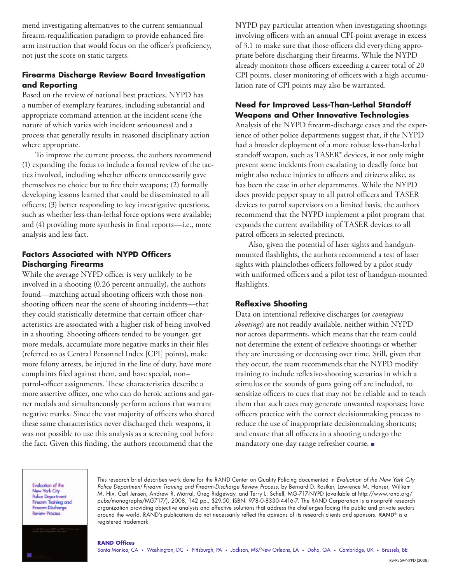mend investigating alternatives to the current semiannual firearm-requalification paradigm to provide enhanced firearm instruction that would focus on the officer's proficiency, not just the score on static targets.

### **Firearms Discharge Review Board Investigation and Reporting**

Based on the review of national best practices, NYPD has a number of exemplary features, including substantial and appropriate command attention at the incident scene (the nature of which varies with incident seriousness) and a process that generally results in reasoned disciplinary action where appropriate.

To improve the current process, the authors recommend (1) expanding the focus to include a formal review of the tactics involved, including whether officers unnecessarily gave themselves no choice but to fire their weapons; (2) formally developing lessons learned that could be disseminated to all officers; (3) better responding to key investigative questions, such as whether less-than-lethal force options were available; and  $(4)$  providing more synthesis in final reports—i.e., more analysis and less fact.

### **Factors Associated with NYPD Officers Discharging Firearms**

While the average NYPD officer is very unlikely to be involved in a shooting (0.26 percent annually), the authors found—matching actual shooting officers with those nonshooting officers near the scene of shooting incidents—that they could statistically determine that certain officer characteristics are associated with a higher risk of being involved in a shooting. Shooting officers tended to be younger, get more medals, accumulate more negative marks in their files (referred to as Central Personnel Index [CPI] points), make more felony arrests, be injured in the line of duty, have more complaints filed against them, and have special, nonpatrol-officer assignments. These characteristics describe a more assertive officer, one who can do heroic actions and garner medals and simultaneously perform actions that warrant negative marks. Since the vast majority of officers who shared these same characteristics never discharged their weapons, it was not possible to use this analysis as a screening tool before the fact. Given this finding, the authors recommend that the

NYPD pay particular attention when investigating shootings involving officers with an annual CPI-point average in excess of 3.1 to make sure that those officers did everything appropriate before discharging their firearms. While the NYPD already monitors those officers exceeding a career total of 20 CPI points, closer monitoring of officers with a high accumulation rate of CPI points may also be warranted.

### **Need for Improved Less-Than-Lethal Standoff Weapons and Other Innovative Technologies**

Analysis of the NYPD firearm-discharge cases and the experience of other police departments suggest that, if the NYPD had a broader deployment of a more robust less-than-lethal standoff weapon, such as TASER® devices, it not only might prevent some incidents from escalating to deadly force but might also reduce injuries to officers and citizens alike, as has been the case in other departments. While the NYPD does provide pepper spray to all patrol officers and TASER devices to patrol supervisors on a limited basis, the authors recommend that the NYPD implement a pilot program that expands the current availability of TASER devices to all patrol officers in selected precincts.

Also, given the potential of laser sights and handgunmounted flashlights, the authors recommend a test of laser sights with plainclothes officers followed by a pilot study with uniformed officers and a pilot test of handgun-mounted flashlights.

#### **Reflexive Shooting**

Data on intentional reflexive discharges (or *contagious shootings*) are not readily available, neither within NYPD nor across departments, which means that the team could not determine the extent of reflexive shootings or whether they are increasing or decreasing over time. Still, given that they occur, the team recommends that the NYPD modify training to include reflexive-shooting scenarios in which a stimulus or the sounds of guns going off are included, to sensitize officers to cues that may not be reliable and to teach them that such cues may generate unwanted responses; have officers practice with the correct decisionmaking process to reduce the use of inappropriate decisionmaking shortcuts; and ensure that all officers in a shooting undergo the mandatory one-day range refresher course. ■

**Evaluation of the** New York City **Police Department Firearm Training and** Firearm-Discharge **Review Process** 

This research brief describes work done for the RAND Center on Quality Policing documented in Evaluation of the New York City Police Department Firearm Training and Firearm-Discharge Review Process, by Bernard D. Rostker, Lawrence M. Hanser, William M. Hix, Carl Jensen, Andrew R. Morral, Greg Ridgeway, and Terry L. Schell, MG-717-NYPD (available at [http://www.rand.org/](http://www.rand.org/pubs/monographs/MG717/) [pubs/monographs/MG717/\),](http://www.rand.org/pubs/monographs/MG717/) 2008, 142 pp., \$29.50, ISBN: 978-0-8330-4416-7. The RAND Corporation is a nonprofit research organization providing objective analysis and effective solutions that address the challenges facing the public and private sectors around the world. RAND's publications do not necessarily reflect the opinions of its research clients and sponsors. RAND® is a registered trademark.

#### **RAND Offices**

Santa Monica, CA • Washington, DC • Pittsburgh, PA • Jackson, MS/New Orleans, LA • Doha, QA • Cambridge, UK • Brussels, BE